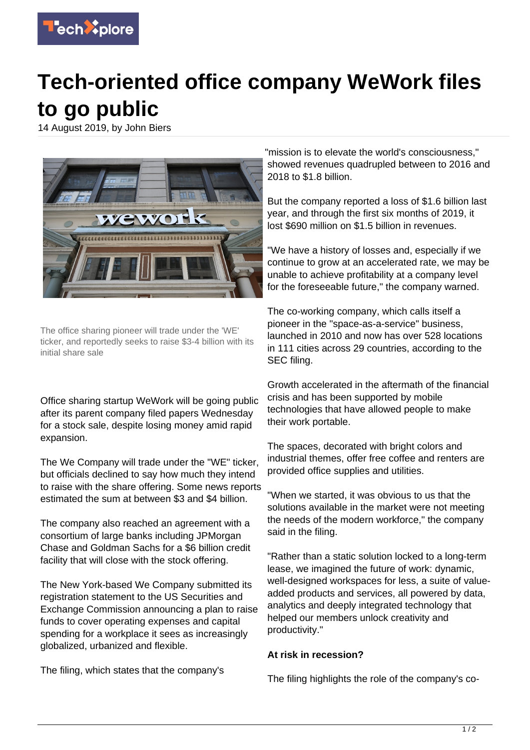

## **Tech-oriented office company WeWork files to go public**

14 August 2019, by John Biers



The office sharing pioneer will trade under the 'WE' ticker, and reportedly seeks to raise \$3-4 billion with its initial share sale

Office sharing startup WeWork will be going public after its parent company filed papers Wednesday for a stock sale, despite losing money amid rapid expansion.

The We Company will trade under the "WE" ticker, but officials declined to say how much they intend to raise with the share offering. Some news reports estimated the sum at between \$3 and \$4 billion.

The company also reached an agreement with a consortium of large banks including JPMorgan Chase and Goldman Sachs for a \$6 billion credit facility that will close with the stock offering.

The New York-based We Company submitted its registration statement to the US Securities and Exchange Commission announcing a plan to raise funds to cover operating expenses and capital spending for a workplace it sees as increasingly globalized, urbanized and flexible.

The filing, which states that the company's

"mission is to elevate the world's consciousness," showed revenues quadrupled between to 2016 and 2018 to \$1.8 billion.

But the company reported a loss of \$1.6 billion last year, and through the first six months of 2019, it lost \$690 million on \$1.5 billion in revenues.

"We have a history of losses and, especially if we continue to grow at an accelerated rate, we may be unable to achieve profitability at a company level for the foreseeable future," the company warned.

The co-working company, which calls itself a pioneer in the "space-as-a-service" business, launched in 2010 and now has over 528 locations in 111 cities across 29 countries, according to the SEC filing.

Growth accelerated in the aftermath of the financial crisis and has been supported by mobile technologies that have allowed people to make their work portable.

The spaces, decorated with bright colors and industrial themes, offer free coffee and renters are provided office supplies and utilities.

"When we started, it was obvious to us that the solutions available in the market were not meeting the needs of the modern workforce," the company said in the filing.

"Rather than a static solution locked to a long-term lease, we imagined the future of work: dynamic, well-designed workspaces for less, a suite of valueadded products and services, all powered by data, analytics and deeply integrated technology that helped our members unlock creativity and productivity."

## **At risk in recession?**

The filing highlights the role of the company's co-